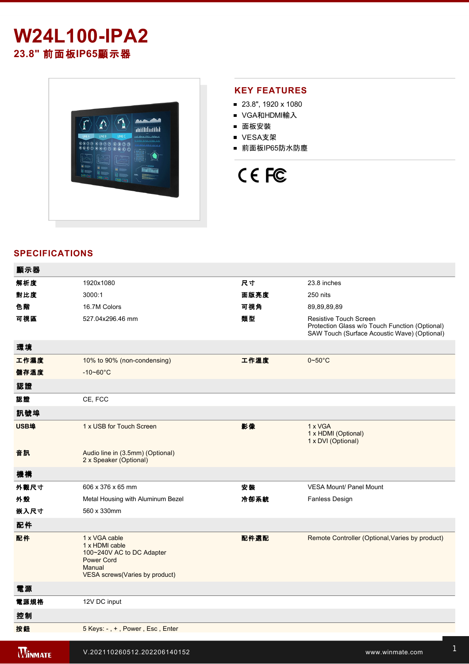

### **KEY FEATURES**

- 23.8", 1920 x 1080
- VGA和HDMI輸入
- 面板安裝
- VESA支架
- 前面板IP65防水防塵

# CE FC

## **SPECIFICATIONS**

| 顯示器            |                                                                                                                                |      |                                                                                                                          |
|----------------|--------------------------------------------------------------------------------------------------------------------------------|------|--------------------------------------------------------------------------------------------------------------------------|
| 解析度            | 1920x1080                                                                                                                      | 尺寸   | 23.8 inches                                                                                                              |
| 對比度            | 3000:1                                                                                                                         | 面版亮度 | 250 nits                                                                                                                 |
| 色階             | 16.7M Colors                                                                                                                   | 可視角  | 89,89,89,89                                                                                                              |
| 可視區            | 527.04x296.46 mm                                                                                                               | 類型   | Resistive Touch Screen<br>Protection Glass w/o Touch Function (Optional)<br>SAW Touch (Surface Acoustic Wave) (Optional) |
| 環境             |                                                                                                                                |      |                                                                                                                          |
| 工作濕度           | 10% to 90% (non-condensing)                                                                                                    | 工作溫度 | $0 - 50^{\circ}$ C                                                                                                       |
| 儲存溫度           | $-10 - 60^{\circ}$ C                                                                                                           |      |                                                                                                                          |
| 認證             |                                                                                                                                |      |                                                                                                                          |
| 認證             | CE, FCC                                                                                                                        |      |                                                                                                                          |
| 訊號埠            |                                                                                                                                |      |                                                                                                                          |
| USB埠           | 1 x USB for Touch Screen                                                                                                       | 影像   | 1 x VGA<br>1 x HDMI (Optional)<br>1 x DVI (Optional)                                                                     |
| 音訊             | Audio line in (3.5mm) (Optional)<br>2 x Speaker (Optional)                                                                     |      |                                                                                                                          |
| 機構             |                                                                                                                                |      |                                                                                                                          |
| 外觀尺寸           | 606 x 376 x 65 mm                                                                                                              | 安裝   | <b>VESA Mount/ Panel Mount</b>                                                                                           |
| 外殼             | Metal Housing with Aluminum Bezel                                                                                              | 冷卻系統 | Fanless Design                                                                                                           |
| 嵌入尺寸           | 560 x 330mm                                                                                                                    |      |                                                                                                                          |
| 配件             |                                                                                                                                |      |                                                                                                                          |
| 配件             | 1 x VGA cable<br>1 x HDMI cable<br>100~240V AC to DC Adapter<br><b>Power Cord</b><br>Manual<br>VESA screws (Varies by product) | 配件選配 | Remote Controller (Optional, Varies by product)                                                                          |
| 電源             |                                                                                                                                |      |                                                                                                                          |
| 電源規格           | 12V DC input                                                                                                                   |      |                                                                                                                          |
| 控制             |                                                                                                                                |      |                                                                                                                          |
| 按鈕             | 5 Keys: -, +, Power, Esc, Enter                                                                                                |      |                                                                                                                          |
| <b>WINMATE</b> | V.202110260512.202206140152                                                                                                    |      | www.winmate.com                                                                                                          |